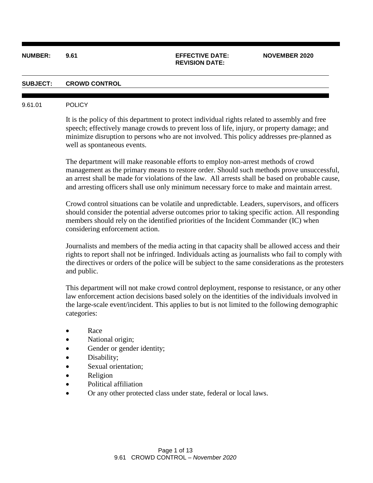## **NUMBER: 9.61 EFFECTIVE DATE: NOVEMBER 2020**

# **REVISION DATE:**

### **SUBJECT: CROWD CONTROL**

#### 9.61.01 POLICY

It is the policy of this department to protect individual rights related to assembly and free speech; effectively manage crowds to prevent loss of life, injury, or property damage; and minimize disruption to persons who are not involved. This policy addresses pre-planned as well as spontaneous events.

The department will make reasonable efforts to employ non-arrest methods of crowd management as the primary means to restore order. Should such methods prove unsuccessful, an arrest shall be made for violations of the law. All arrests shall be based on probable cause, and arresting officers shall use only minimum necessary force to make and maintain arrest.

Crowd control situations can be volatile and unpredictable. Leaders, supervisors, and officers should consider the potential adverse outcomes prior to taking specific action. All responding members should rely on the identified priorities of the Incident Commander (IC) when considering enforcement action.

Journalists and members of the media acting in that capacity shall be allowed access and their rights to report shall not be infringed. Individuals acting as journalists who fail to comply with the directives or orders of the police will be subject to the same considerations as the protesters and public.

This department will not make crowd control deployment, response to resistance, or any other law enforcement action decisions based solely on the identities of the individuals involved in the large-scale event/incident. This applies to but is not limited to the following demographic categories:

- Race
- National origin;
- Gender or gender identity;
- Disability;
- Sexual orientation;
- Religion
- Political affiliation
- Or any other protected class under state, federal or local laws.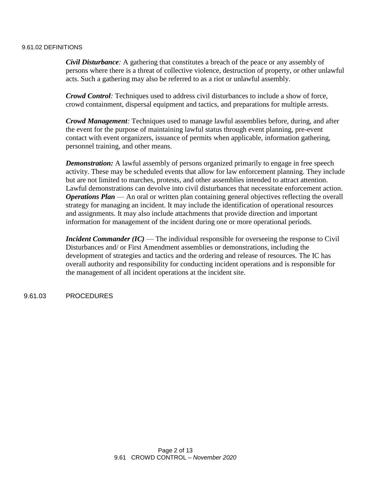# 9.61.02 DEFINITIONS

*Civil Disturbance:* A gathering that constitutes a breach of the peace or any assembly of persons where there is a threat of collective violence, destruction of property, or other unlawful acts. Such a gathering may also be referred to as a riot or unlawful assembly.

*Crowd Control:* Techniques used to address civil disturbances to include a show of force, crowd containment, dispersal equipment and tactics, and preparations for multiple arrests.

*Crowd Management:* Techniques used to manage lawful assemblies before, during, and after the event for the purpose of maintaining lawful status through event planning, pre-event contact with event organizers, issuance of permits when applicable, information gathering, personnel training, and other means.

*Demonstration:* A lawful assembly of persons organized primarily to engage in free speech activity. These may be scheduled events that allow for law enforcement planning. They include but are not limited to marches, protests, and other assemblies intended to attract attention. Lawful demonstrations can devolve into civil disturbances that necessitate enforcement action. *Operations Plan* — An oral or written plan containing general objectives reflecting the overall strategy for managing an incident. It may include the identification of operational resources and assignments. It may also include attachments that provide direction and important information for management of the incident during one or more operational periods.

*Incident Commander (IC)* — The individual responsible for overseeing the response to Civil Disturbances and/ or First Amendment assemblies or demonstrations, including the development of strategies and tactics and the ordering and release of resources. The IC has overall authority and responsibility for conducting incident operations and is responsible for the management of all incident operations at the incident site.

9.61.03 PROCEDURES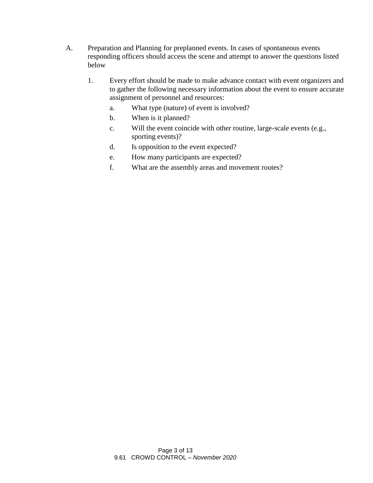- A. Preparation and Planning for preplanned events. In cases of spontaneous events responding officers should access the scene and attempt to answer the questions listed below
	- 1. Every effort should be made to make advance contact with event organizers and to gather the following necessary information about the event to ensure accurate assignment of personnel and resources:
		- a. What type (nature) of event is involved?
		- b. When is it planned?
		- c. Will the event coincide with other routine, large-scale events (e.g., sporting events)?
		- d. Is opposition to the event expected?
		- e. How many participants are expected?
		- f. What are the assembly areas and movement routes?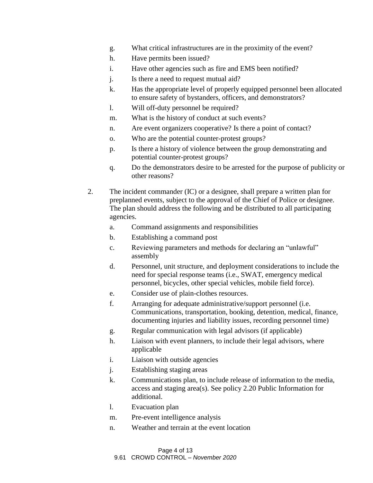- g. What critical infrastructures are in the proximity of the event?
- h. Have permits been issued?
- i. Have other agencies such as fire and EMS been notified?
- j. Is there a need to request mutual aid?
- k. Has the appropriate level of properly equipped personnel been allocated to ensure safety of bystanders, officers, and demonstrators?
- l. Will off-duty personnel be required?
- m. What is the history of conduct at such events?
- n. Are event organizers cooperative? Is there a point of contact?
- o. Who are the potential counter-protest groups?
- p. Is there a history of violence between the group demonstrating and potential counter-protest groups?
- q. Do the demonstrators desire to be arrested for the purpose of publicity or other reasons?
- 2. The incident commander (IC) or a designee, shall prepare a written plan for preplanned events, subject to the approval of the Chief of Police or designee. The plan should address the following and be distributed to all participating agencies.
	- a. Command assignments and responsibilities
	- b. Establishing a command post
	- c. Reviewing parameters and methods for declaring an "unlawful" assembly
	- d. Personnel, unit structure, and deployment considerations to include the need for special response teams (i.e., SWAT, emergency medical personnel, bicycles, other special vehicles, mobile field force).
	- e. Consider use of plain-clothes resources.
	- f. Arranging for adequate administrative/support personnel (i.e. Communications, transportation, booking, detention, medical, finance, documenting injuries and liability issues, recording personnel time)
	- g. Regular communication with legal advisors (if applicable)
	- h. Liaison with event planners, to include their legal advisors, where applicable
	- i. Liaison with outside agencies
	- j. Establishing staging areas
	- k. Communications plan, to include release of information to the media, access and staging area(s). See policy 2.20 Public Information for additional.
	- l. Evacuation plan
	- m. Pre-event intelligence analysis
	- n. Weather and terrain at the event location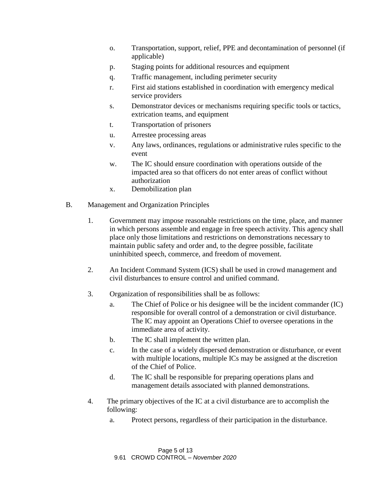- o. Transportation, support, relief, PPE and decontamination of personnel (if applicable)
- p. Staging points for additional resources and equipment
- q. Traffic management, including perimeter security
- r. First aid stations established in coordination with emergency medical service providers
- s. Demonstrator devices or mechanisms requiring specific tools or tactics, extrication teams, and equipment
- t. Transportation of prisoners
- u. Arrestee processing areas
- v. Any laws, ordinances, regulations or administrative rules specific to the event
- w. The IC should ensure coordination with operations outside of the impacted area so that officers do not enter areas of conflict without authorization
- x. Demobilization plan
- B. Management and Organization Principles
	- 1. Government may impose reasonable restrictions on the time, place, and manner in which persons assemble and engage in free speech activity. This agency shall place only those limitations and restrictions on demonstrations necessary to maintain public safety and order and, to the degree possible, facilitate uninhibited speech, commerce, and freedom of movement.
	- 2. An Incident Command System (ICS) shall be used in crowd management and civil disturbances to ensure control and unified command.
	- 3. Organization of responsibilities shall be as follows:
		- a. The Chief of Police or his designee will be the incident commander (IC) responsible for overall control of a demonstration or civil disturbance. The IC may appoint an Operations Chief to oversee operations in the immediate area of activity.
		- b. The IC shall implement the written plan.
		- c. In the case of a widely dispersed demonstration or disturbance, or event with multiple locations, multiple ICs may be assigned at the discretion of the Chief of Police.
		- d. The IC shall be responsible for preparing operations plans and management details associated with planned demonstrations.
	- 4. The primary objectives of the IC at a civil disturbance are to accomplish the following:
		- a. Protect persons, regardless of their participation in the disturbance.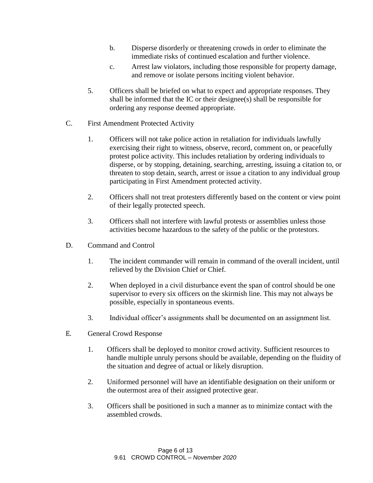- b. Disperse disorderly or threatening crowds in order to eliminate the immediate risks of continued escalation and further violence.
- c. Arrest law violators, including those responsible for property damage, and remove or isolate persons inciting violent behavior.
- 5. Officers shall be briefed on what to expect and appropriate responses. They shall be informed that the IC or their designee(s) shall be responsible for ordering any response deemed appropriate.
- C. First Amendment Protected Activity
	- 1. Officers will not take police action in retaliation for individuals lawfully exercising their right to witness, observe, record, comment on, or peacefully protest police activity. This includes retaliation by ordering individuals to disperse, or by stopping, detaining, searching, arresting, issuing a citation to, or threaten to stop detain, search, arrest or issue a citation to any individual group participating in First Amendment protected activity.
	- 2. Officers shall not treat protesters differently based on the content or view point of their legally protected speech.
	- 3. Officers shall not interfere with lawful protests or assemblies unless those activities become hazardous to the safety of the public or the protestors.
- D. Command and Control
	- 1. The incident commander will remain in command of the overall incident, until relieved by the Division Chief or Chief.
	- 2. When deployed in a civil disturbance event the span of control should be one supervisor to every six officers on the skirmish line. This may not always be possible, especially in spontaneous events.
	- 3. Individual officer's assignments shall be documented on an assignment list.
- E. General Crowd Response
	- 1. Officers shall be deployed to monitor crowd activity. Sufficient resources to handle multiple unruly persons should be available, depending on the fluidity of the situation and degree of actual or likely disruption.
	- 2. Uniformed personnel will have an identifiable designation on their uniform or the outermost area of their assigned protective gear.
	- 3. Officers shall be positioned in such a manner as to minimize contact with the assembled crowds.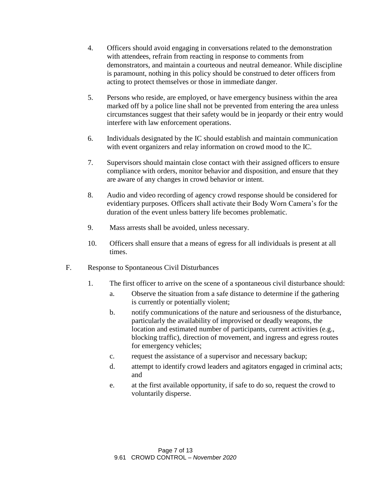- 4. Officers should avoid engaging in conversations related to the demonstration with attendees, refrain from reacting in response to comments from demonstrators, and maintain a courteous and neutral demeanor. While discipline is paramount, nothing in this policy should be construed to deter officers from acting to protect themselves or those in immediate danger.
- 5. Persons who reside, are employed, or have emergency business within the area marked off by a police line shall not be prevented from entering the area unless circumstances suggest that their safety would be in jeopardy or their entry would interfere with law enforcement operations.
- 6. Individuals designated by the IC should establish and maintain communication with event organizers and relay information on crowd mood to the IC.
- 7. Supervisors should maintain close contact with their assigned officers to ensure compliance with orders, monitor behavior and disposition, and ensure that they are aware of any changes in crowd behavior or intent.
- 8. Audio and video recording of agency crowd response should be considered for evidentiary purposes. Officers shall activate their Body Worn Camera's for the duration of the event unless battery life becomes problematic.
- 9. Mass arrests shall be avoided, unless necessary.
- 10. Officers shall ensure that a means of egress for all individuals is present at all times.
- F. Response to Spontaneous Civil Disturbances
	- 1. The first officer to arrive on the scene of a spontaneous civil disturbance should:
		- a. Observe the situation from a safe distance to determine if the gathering is currently or potentially violent;
		- b. notify communications of the nature and seriousness of the disturbance, particularly the availability of improvised or deadly weapons, the location and estimated number of participants, current activities (e.g., blocking traffic), direction of movement, and ingress and egress routes for emergency vehicles;
		- c. request the assistance of a supervisor and necessary backup;
		- d. attempt to identify crowd leaders and agitators engaged in criminal acts; and
		- e. at the first available opportunity, if safe to do so, request the crowd to voluntarily disperse.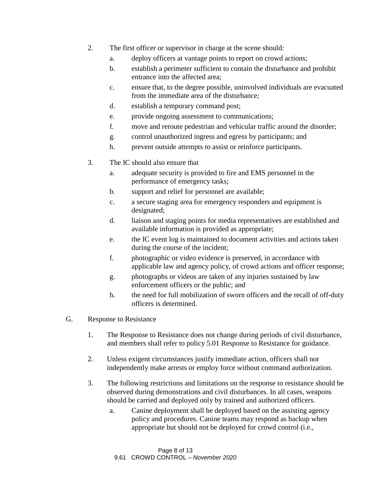- 2. The first officer or supervisor in charge at the scene should:
	- a. deploy officers at vantage points to report on crowd actions;
	- b. establish a perimeter sufficient to contain the disturbance and prohibit entrance into the affected area;
	- c. ensure that, to the degree possible, uninvolved individuals are evacuated from the immediate area of the disturbance;
	- d. establish a temporary command post;
	- e. provide ongoing assessment to communications;
	- f. move and reroute pedestrian and vehicular traffic around the disorder;
	- g. control unauthorized ingress and egress by participants; and
	- h. prevent outside attempts to assist or reinforce participants.
- 3. The IC should also ensure that
	- a. adequate security is provided to fire and EMS personnel in the performance of emergency tasks;
	- b. support and relief for personnel are available;
	- c. a secure staging area for emergency responders and equipment is designated;
	- d. liaison and staging points for media representatives are established and available information is provided as appropriate;
	- e. the IC event log is maintained to document activities and actions taken during the course of the incident;
	- f. photographic or video evidence is preserved, in accordance with applicable law and agency policy, of crowd actions and officer response;
	- g. photographs or videos are taken of any injuries sustained by law enforcement officers or the public; and
	- h. the need for full mobilization of sworn officers and the recall of off-duty officers is determined.
- G. Response to Resistance
	- 1. The Response to Resistance does not change during periods of civil disturbance, and members shall refer to policy 5.01 Response to Resistance for guidance.
	- 2. Unless exigent circumstances justify immediate action, officers shall not independently make arrests or employ force without command authorization.
	- 3. The following restrictions and limitations on the response to resistance should be observed during demonstrations and civil disturbances. In all cases, weapons should be carried and deployed only by trained and authorized officers.
		- a. Canine deployment shall be deployed based on the assisting agency policy and procedures. Canine teams may respond as backup when appropriate but should not be deployed for crowd control (i.e.,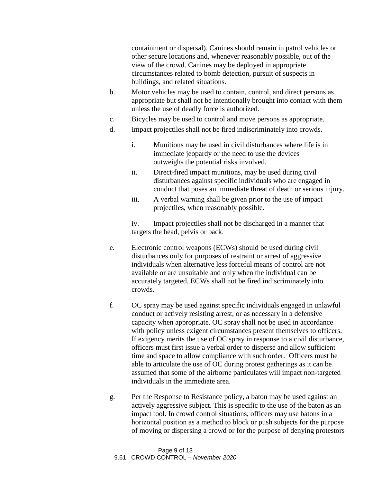containment or dispersal). Canines should remain in patrol vehicles or other secure locations and, whenever reasonably possible, out of the view of the crowd. Canines may be deployed in appropriate circumstances related to bomb detection, pursuit of suspects in buildings, and related situations.

- b. Motor vehicles may be used to contain, control, and direct persons as appropriate but shall not be intentionally brought into contact with them unless the use of deadly force is authorized.
- c. Bicycles may be used to control and move persons as appropriate.
- d. Impact projectiles shall not be fired indiscriminately into crowds.
	- i. Munitions may be used in civil disturbances where life is in immediate jeopardy or the need to use the devices outweighs the potential risks involved.
	- ii. Direct-fired impact munitions, may be used during civil disturbances against specific individuals who are engaged in conduct that poses an immediate threat of death or serious injury.
	- iii. A verbal warning shall be given prior to the use of impact projectiles, when reasonably possible.

iv. Impact projectiles shall not be discharged in a manner that targets the head, pelvis or back.

- e. Electronic control weapons (ECWs) should be used during civil disturbances only for purposes of restraint or arrest of aggressive individuals when alternative less forceful means of control are not available or are unsuitable and only when the individual can be accurately targeted. ECWs shall not be fired indiscriminately into crowds.
- f. OC spray may be used against specific individuals engaged in unlawful conduct or actively resisting arrest, or as necessary in a defensive capacity when appropriate. OC spray shall not be used in accordance with policy unless exigent circumstances present themselves to officers. If exigency merits the use of OC spray in response to a civil disturbance, officers must first issue a verbal order to disperse and allow sufficient time and space to allow compliance with such order. Officers must be able to articulate the use of OC during protest gatherings as it can be assumed that some of the airborne particulates will impact non-targeted individuals in the immediate area.
- g. Per the Response to Resistance policy, a baton may be used against an actively aggressive subject. This is specific to the use of the baton as an impact tool. In crowd control situations, officers may use batons in a horizontal position as a method to block or push subjects for the purpose of moving or dispersing a crowd or for the purpose of denying protestors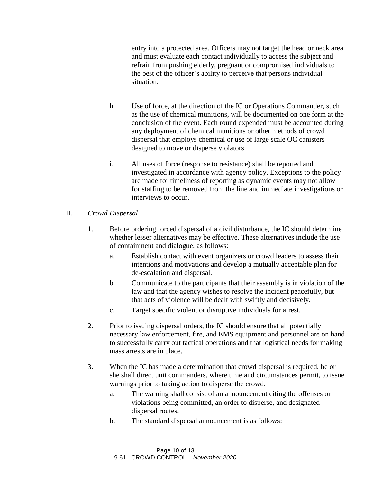entry into a protected area. Officers may not target the head or neck area and must evaluate each contact individually to access the subject and refrain from pushing elderly, pregnant or compromised individuals to the best of the officer's ability to perceive that persons individual situation.

- h. Use of force, at the direction of the IC or Operations Commander, such as the use of chemical munitions, will be documented on one form at the conclusion of the event. Each round expended must be accounted during any deployment of chemical munitions or other methods of crowd dispersal that employs chemical or use of large scale OC canisters designed to move or disperse violators.
- i. All uses of force (response to resistance) shall be reported and investigated in accordance with agency policy. Exceptions to the policy are made for timeliness of reporting as dynamic events may not allow for staffing to be removed from the line and immediate investigations or interviews to occur.

# H. *Crowd Dispersal*

- 1. Before ordering forced dispersal of a civil disturbance, the IC should determine whether lesser alternatives may be effective. These alternatives include the use of containment and dialogue, as follows:
	- a. Establish contact with event organizers or crowd leaders to assess their intentions and motivations and develop a mutually acceptable plan for de-escalation and dispersal.
	- b. Communicate to the participants that their assembly is in violation of the law and that the agency wishes to resolve the incident peacefully, but that acts of violence will be dealt with swiftly and decisively.
	- c. Target specific violent or disruptive individuals for arrest.
- 2. Prior to issuing dispersal orders, the IC should ensure that all potentially necessary law enforcement, fire, and EMS equipment and personnel are on hand to successfully carry out tactical operations and that logistical needs for making mass arrests are in place.
- 3. When the IC has made a determination that crowd dispersal is required, he or she shall direct unit commanders, where time and circumstances permit, to issue warnings prior to taking action to disperse the crowd.
	- a. The warning shall consist of an announcement citing the offenses or violations being committed, an order to disperse, and designated dispersal routes.
	- b. The standard dispersal announcement is as follows: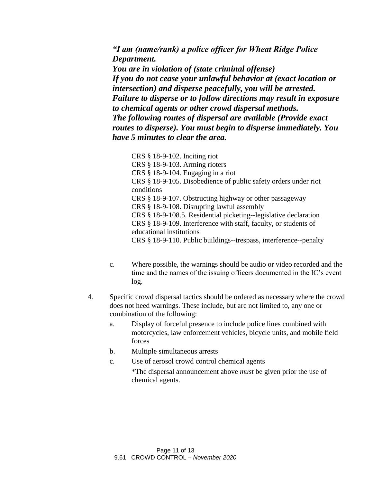*"I am (name/rank) a police officer for Wheat Ridge Police Department. You are in violation of (state criminal offense) If you do not cease your unlawful behavior at (exact location or intersection) and disperse peacefully, you will be arrested. Failure to disperse or to follow directions may result in exposure to chemical agents or other crowd dispersal methods. The following routes of dispersal are available (Provide exact routes to disperse). You must begin to disperse immediately. You have 5 minutes to clear the area.*

CRS [§ 18-9-102. Inciting riot](https://codes.findlaw.com/co/title-18-criminal-code/co-rev-st-sect-18-9-102.html) CRS [§ 18-9-103. Arming rioters](https://codes.findlaw.com/co/title-18-criminal-code/co-rev-st-sect-18-9-103.html) CRS [§ 18-9-104. Engaging in a riot](https://codes.findlaw.com/co/title-18-criminal-code/co-rev-st-sect-18-9-104.html) CRS [§ 18-9-105. Disobedience of public safety orders under riot](https://codes.findlaw.com/co/title-18-criminal-code/co-rev-st-sect-18-9-105.html)  [conditions](https://codes.findlaw.com/co/title-18-criminal-code/co-rev-st-sect-18-9-105.html) CRS [§ 18-9-107. Obstructing highway or other passageway](https://codes.findlaw.com/co/title-18-criminal-code/co-rev-st-sect-18-9-107.html) CRS [§ 18-9-108. Disrupting lawful assembly](https://codes.findlaw.com/co/title-18-criminal-code/co-rev-st-sect-18-9-108.html) CRS [§ 18-9-108.5. Residential picketing--legislative declaration](https://codes.findlaw.com/co/title-18-criminal-code/co-rev-st-sect-18-9-108-5.html) CRS [§ 18-9-109. Interference with staff, faculty, or students of](https://codes.findlaw.com/co/title-18-criminal-code/co-rev-st-sect-18-9-109.html)  [educational institutions](https://codes.findlaw.com/co/title-18-criminal-code/co-rev-st-sect-18-9-109.html) CRS [§ 18-9-110. Public buildings--trespass, interference--penalty](https://codes.findlaw.com/co/title-18-criminal-code/co-rev-st-sect-18-9-110.html)

- c. Where possible, the warnings should be audio or video recorded and the time and the names of the issuing officers documented in the IC's event log.
- 4. Specific crowd dispersal tactics should be ordered as necessary where the crowd does not heed warnings. These include, but are not limited to, any one or combination of the following:
	- a. Display of forceful presence to include police lines combined with motorcycles, law enforcement vehicles, bicycle units, and mobile field forces
	- b. Multiple simultaneous arrests
	- c. Use of aerosol crowd control chemical agents

\*The dispersal announcement above *must* be given prior the use of chemical agents.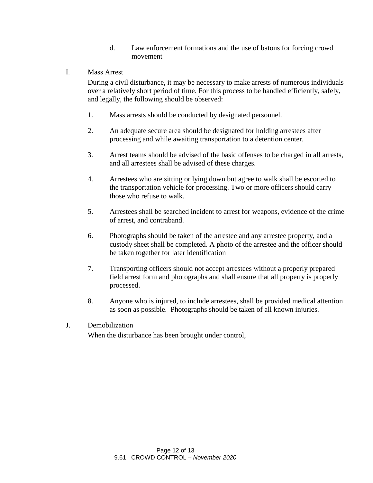- d. Law enforcement formations and the use of batons for forcing crowd movement
- I. Mass Arrest

During a civil disturbance, it may be necessary to make arrests of numerous individuals over a relatively short period of time. For this process to be handled efficiently, safely, and legally, the following should be observed:

- 1. Mass arrests should be conducted by designated personnel.
- 2. An adequate secure area should be designated for holding arrestees after processing and while awaiting transportation to a detention center.
- 3. Arrest teams should be advised of the basic offenses to be charged in all arrests, and all arrestees shall be advised of these charges.
- 4. Arrestees who are sitting or lying down but agree to walk shall be escorted to the transportation vehicle for processing. Two or more officers should carry those who refuse to walk.
- 5. Arrestees shall be searched incident to arrest for weapons, evidence of the crime of arrest, and contraband.
- 6. Photographs should be taken of the arrestee and any arrestee property, and a custody sheet shall be completed. A photo of the arrestee and the officer should be taken together for later identification
- 7. Transporting officers should not accept arrestees without a properly prepared field arrest form and photographs and shall ensure that all property is properly processed.
- 8. Anyone who is injured, to include arrestees, shall be provided medical attention as soon as possible. Photographs should be taken of all known injuries.
- J. Demobilization When the disturbance has been brought under control,